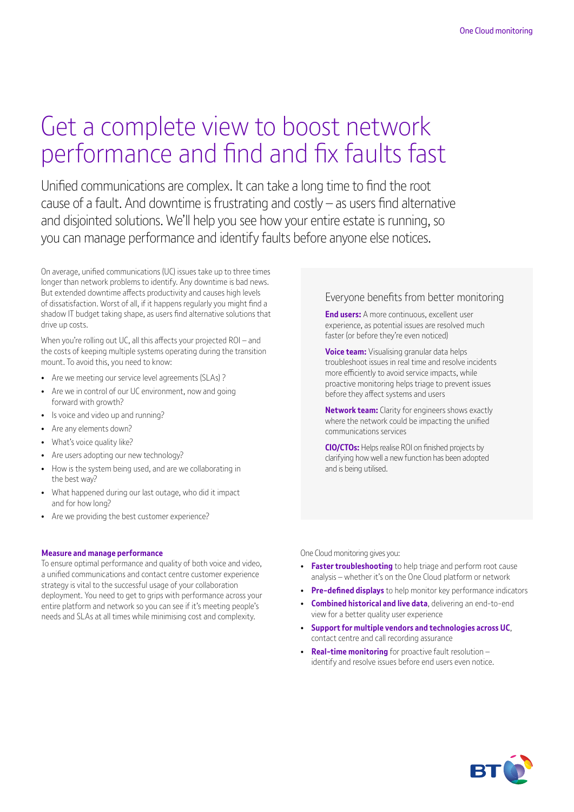# Get a complete view to boost network performance and find and fix faults fast

Unified communications are complex. It can take a long time to find the root cause of a fault. And downtime is frustrating and costly – as users find alternative and disjointed solutions. We'll help you see how your entire estate is running, so you can manage performance and identify faults before anyone else notices.

On average, unified communications (UC) issues take up to three times longer than network problems to identify. Any downtime is bad news. But extended downtime affects productivity and causes high levels of dissatisfaction. Worst of all, if it happens regularly you might find a shadow IT budget taking shape, as users find alternative solutions that drive up costs.

When you're rolling out UC, all this affects your projected ROI – and the costs of keeping multiple systems operating during the transition mount. To avoid this, you need to know:

- Are we meeting our service level agreements (SLAs) ?
- Are we in control of our UC environment, now and going forward with growth?
- Is voice and video up and running?
- Are any elements down?
- What's voice quality like?
- Are users adopting our new technology?
- How is the system being used, and are we collaborating in the best way?
- What happened during our last outage, who did it impact and for how long?
- Are we providing the best customer experience?

#### **Measure and manage performance**

To ensure optimal performance and quality of both voice and video, a unified communications and contact centre customer experience strategy is vital to the successful usage of your collaboration deployment. You need to get to grips with performance across your entire platform and network so you can see if it's meeting people's needs and SLAs at all times while minimising cost and complexity.

### Everyone benefits from better monitoring

**End users:** A more continuous, excellent user experience, as potential issues are resolved much faster (or before they're even noticed)

**Voice team:** Visualising granular data helps troubleshoot issues in real time and resolve incidents more efficiently to avoid service impacts, while proactive monitoring helps triage to prevent issues before they affect systems and users

**Network team:** Clarity for engineers shows exactly where the network could be impacting the unified communications services

**CIO/CTOs:** Helps realise ROI on finished projects by clarifying how well a new function has been adopted and is being utilised.

One Cloud monitoring gives you:

- **Faster troubleshooting** to help triage and perform root cause analysis – whether it's on the One Cloud platform or network
- **Pre-defined displays** to help monitor key performance indicators
- **Combined historical and live data**, delivering an end-to-end view for a better quality user experience
- **Support for multiple vendors and technologies across UC**, contact centre and call recording assurance
- **Real-time monitoring** for proactive fault resolution identify and resolve issues before end users even notice.